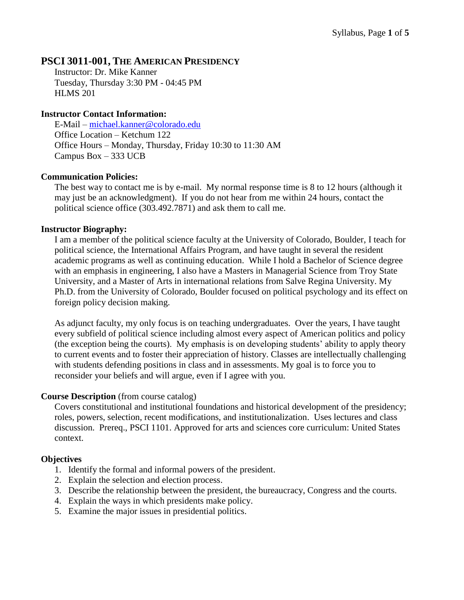# **PSCI 3011-001, THE AMERICAN PRESIDENCY**

Instructor: Dr. Mike Kanner Tuesday, Thursday 3:30 PM - 04:45 PM HLMS 201

## **Instructor Contact Information:**

E-Mail – [michael.kanner@colorado.edu](mailto:michael.kanner@colorado.edu) Office Location – Ketchum 122 Office Hours – Monday, Thursday, Friday 10:30 to 11:30 AM Campus Box – 333 UCB

## **Communication Policies:**

The best way to contact me is by e-mail. My normal response time is 8 to 12 hours (although it may just be an acknowledgment). If you do not hear from me within 24 hours, contact the political science office (303.492.7871) and ask them to call me.

## **Instructor Biography:**

I am a member of the political science faculty at the University of Colorado, Boulder, I teach for political science, the International Affairs Program, and have taught in several the resident academic programs as well as continuing education. While I hold a Bachelor of Science degree with an emphasis in engineering, I also have a Masters in Managerial Science from Troy State University, and a Master of Arts in international relations from Salve Regina University. My Ph.D. from the University of Colorado, Boulder focused on political psychology and its effect on foreign policy decision making.

As adjunct faculty, my only focus is on teaching undergraduates. Over the years, I have taught every subfield of political science including almost every aspect of American politics and policy (the exception being the courts). My emphasis is on developing students' ability to apply theory to current events and to foster their appreciation of history. Classes are intellectually challenging with students defending positions in class and in assessments. My goal is to force you to reconsider your beliefs and will argue, even if I agree with you.

## **Course Description** (from course catalog)

Covers constitutional and institutional foundations and historical development of the presidency; roles, powers, selection, recent modifications, and institutionalization. Uses lectures and class discussion. Prereq., PSCI 1101. Approved for arts and sciences core curriculum: United States context.

## **Objectives**

- 1. Identify the formal and informal powers of the president.
- 2. Explain the selection and election process.
- 3. Describe the relationship between the president, the bureaucracy, Congress and the courts.
- 4. Explain the ways in which presidents make policy.
- 5. Examine the major issues in presidential politics.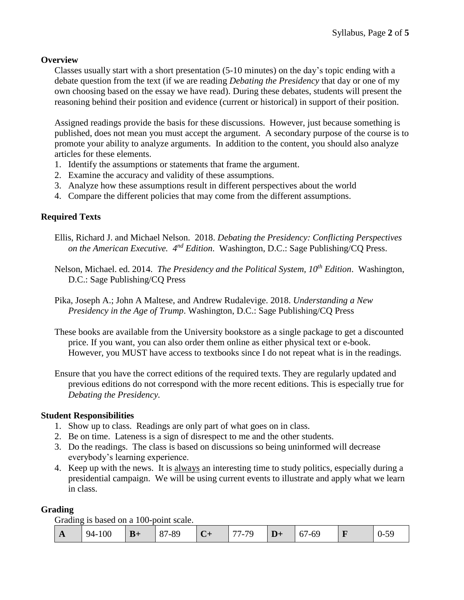## **Overview**

Classes usually start with a short presentation (5-10 minutes) on the day's topic ending with a debate question from the text (if we are reading *Debating the Presidency* that day or one of my own choosing based on the essay we have read). During these debates, students will present the reasoning behind their position and evidence (current or historical) in support of their position.

Assigned readings provide the basis for these discussions. However, just because something is published, does not mean you must accept the argument. A secondary purpose of the course is to promote your ability to analyze arguments. In addition to the content, you should also analyze articles for these elements.

- 1. Identify the assumptions or statements that frame the argument.
- 2. Examine the accuracy and validity of these assumptions.
- 3. Analyze how these assumptions result in different perspectives about the world
- 4. Compare the different policies that may come from the different assumptions.

## **Required Texts**

- Ellis, Richard J. and Michael Nelson. 2018. *Debating the Presidency: Conflicting Perspectives*  on the American Executive.  $4^{nd}$  Edition. Washington, D.C.: Sage Publishing/CQ Press.
- Nelson, Michael. ed. 2014. *The Presidency and the Political System, 10th Edition*. Washington, D.C.: Sage Publishing/CQ Press
- Pika, Joseph A.; John A Maltese, and Andrew Rudalevige. 2018. *Understanding a New Presidency in the Age of Trump*. Washington, D.C.: Sage Publishing/CQ Press
- These books are available from the University bookstore as a single package to get a discounted price. If you want, you can also order them online as either physical text or e-book. However, you MUST have access to textbooks since I do not repeat what is in the readings.
- Ensure that you have the correct editions of the required texts. They are regularly updated and previous editions do not correspond with the more recent editions. This is especially true for *Debating the Presidency.*

#### **Student Responsibilities**

- 1. Show up to class. Readings are only part of what goes on in class.
- 2. Be on time. Lateness is a sign of disrespect to me and the other students.
- 3. Do the readings. The class is based on discussions so being uninformed will decrease everybody's learning experience.
- 4. Keep up with the news. It is always an interesting time to study politics, especially during a presidential campaign. We will be using current events to illustrate and apply what we learn in class.

#### **Grading**

Grading is based on a 100-point scale.

| $\mathbf{A}$ | 100<br>$94-1$ | $B+$ | O <sub>7</sub><br>/-89 | $\overline{\mathbf{C}}$ + | 77-79 | יע | 67-69 | -- | 1 I.<br>v<br><u>.</u> |
|--------------|---------------|------|------------------------|---------------------------|-------|----|-------|----|-----------------------|
|--------------|---------------|------|------------------------|---------------------------|-------|----|-------|----|-----------------------|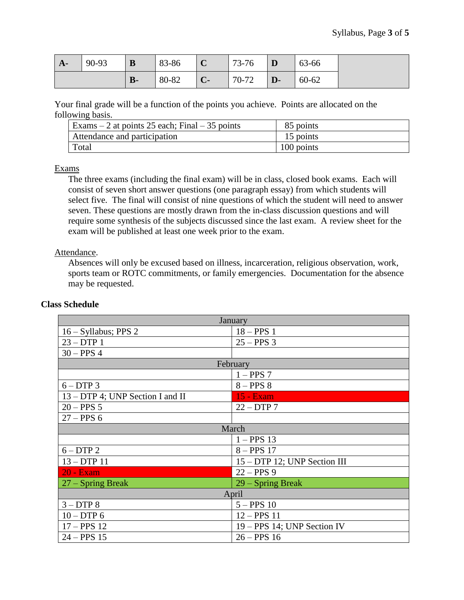| $A-$ | 90-93 | B            | 83-86 | $\mathbf C$ | 73-76 | $\vert$ D    | 63-66     |
|------|-------|--------------|-------|-------------|-------|--------------|-----------|
|      |       | $\mathbf{B}$ | 80-82 | C           | 70-72 | $\mathbf{D}$ | $60 - 62$ |

Your final grade will be a function of the points you achieve. Points are allocated on the following basis.

| Exams $-2$ at points 25 each; Final $-35$ points | 85 points  |
|--------------------------------------------------|------------|
| Attendance and participation                     | 15 points  |
| Total                                            | 100 points |

#### Exams

The three exams (including the final exam) will be in class, closed book exams. Each will consist of seven short answer questions (one paragraph essay) from which students will select five. The final will consist of nine questions of which the student will need to answer seven. These questions are mostly drawn from the in-class discussion questions and will require some synthesis of the subjects discussed since the last exam. A review sheet for the exam will be published at least one week prior to the exam.

#### Attendance.

Absences will only be excused based on illness, incarceration, religious observation, work, sports team or ROTC commitments, or family emergencies. Documentation for the absence may be requested.

| January                          |                              |  |  |  |  |
|----------------------------------|------------------------------|--|--|--|--|
| 16 - Syllabus; PPS 2             | $18 - PPS$ 1                 |  |  |  |  |
| $23 - DTP$ 1                     | $25 - PPS$ 3                 |  |  |  |  |
| $30 - PPS$ 4                     |                              |  |  |  |  |
| February                         |                              |  |  |  |  |
|                                  | $1 - PPS$ 7                  |  |  |  |  |
| $6-DTP3$                         | $8 - PPS8$                   |  |  |  |  |
| 13 – DTP 4; UNP Section I and II | <b>15 - Exam</b>             |  |  |  |  |
| $20 - PPS 5$                     | $22 - DTP7$                  |  |  |  |  |
| $27 - PPS6$                      |                              |  |  |  |  |
| March                            |                              |  |  |  |  |
|                                  | $1 - PPS$ 13                 |  |  |  |  |
| $6-DTP2$                         | $8 - PPS$ 17                 |  |  |  |  |
| $13 - DTP 11$                    | 15 – DTP 12; UNP Section III |  |  |  |  |
| <b>20 - Exam</b>                 | $22 - PPS9$                  |  |  |  |  |
| $27 -$ Spring Break              | 29 – Spring Break            |  |  |  |  |
| April                            |                              |  |  |  |  |
| $3 - DTP8$                       | $5 - PPS$ 10                 |  |  |  |  |
| $10 - DTP$ 6                     | $12 - PPS$ 11                |  |  |  |  |
| $17 - PPS$ 12                    | 19 – PPS 14; UNP Section IV  |  |  |  |  |
| $24 - PPS$ 15                    | $26 - PPS$ 16                |  |  |  |  |

## **Class Schedule**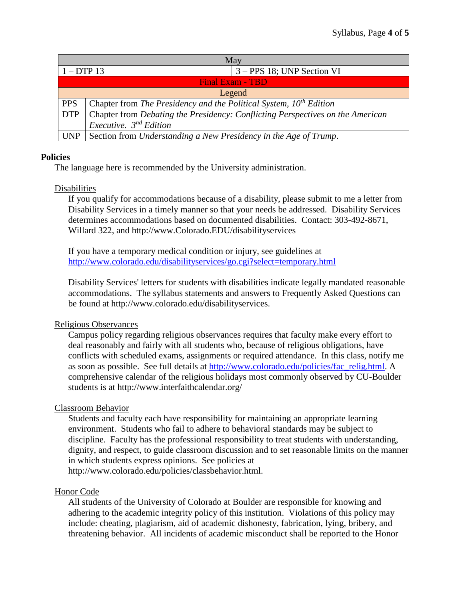| May                     |                                                                                |                            |  |  |
|-------------------------|--------------------------------------------------------------------------------|----------------------------|--|--|
| $1 - DTP$ 13            |                                                                                | 3 – PPS 18; UNP Section VI |  |  |
| <b>Final Exam - TBD</b> |                                                                                |                            |  |  |
| Legend                  |                                                                                |                            |  |  |
| <b>PPS</b>              | Chapter from The Presidency and the Political System, $10^{th}$ Edition        |                            |  |  |
| <b>DTP</b>              | Chapter from Debating the Presidency: Conflicting Perspectives on the American |                            |  |  |
|                         | <i>Executive.</i> $3^{nd}$ <i>Edition</i>                                      |                            |  |  |
|                         | $UNP$ Section from <i>Understanding a New Presidency in the Age of Trump</i> . |                            |  |  |

#### **Policies**

The language here is recommended by the University administration.

## Disabilities

If you qualify for accommodations because of a disability, please submit to me a letter from Disability Services in a timely manner so that your needs be addressed. Disability Services determines accommodations based on documented disabilities. Contact: 303-492-8671, Willard 322, and http://www.Colorado.EDU/disabilityservices

If you have a temporary medical condition or injury, see guidelines at <http://www.colorado.edu/disabilityservices/go.cgi?select=temporary.html>

Disability Services' letters for students with disabilities indicate legally mandated reasonable accommodations. The syllabus statements and answers to Frequently Asked Questions can be found at http://www.colorado.edu/disabilityservices.

## Religious Observances

Campus policy regarding religious observances requires that faculty make every effort to deal reasonably and fairly with all students who, because of religious obligations, have conflicts with scheduled exams, assignments or required attendance. In this class, notify me as soon as possible. See full details at [http://www.colorado.edu/policies/fac\\_relig.html.](http://www.colorado.edu/policies/fac_relig.html) A comprehensive calendar of the religious holidays most commonly observed by CU-Boulder students is at http://www.interfaithcalendar.org/

## Classroom Behavior

Students and faculty each have responsibility for maintaining an appropriate learning environment. Students who fail to adhere to behavioral standards may be subject to discipline. Faculty has the professional responsibility to treat students with understanding, dignity, and respect, to guide classroom discussion and to set reasonable limits on the manner in which students express opinions. See policies at http://www.colorado.edu/policies/classbehavior.html.

#### Honor Code

All students of the University of Colorado at Boulder are responsible for knowing and adhering to the academic integrity policy of this institution. Violations of this policy may include: cheating, plagiarism, aid of academic dishonesty, fabrication, lying, bribery, and threatening behavior. All incidents of academic misconduct shall be reported to the Honor